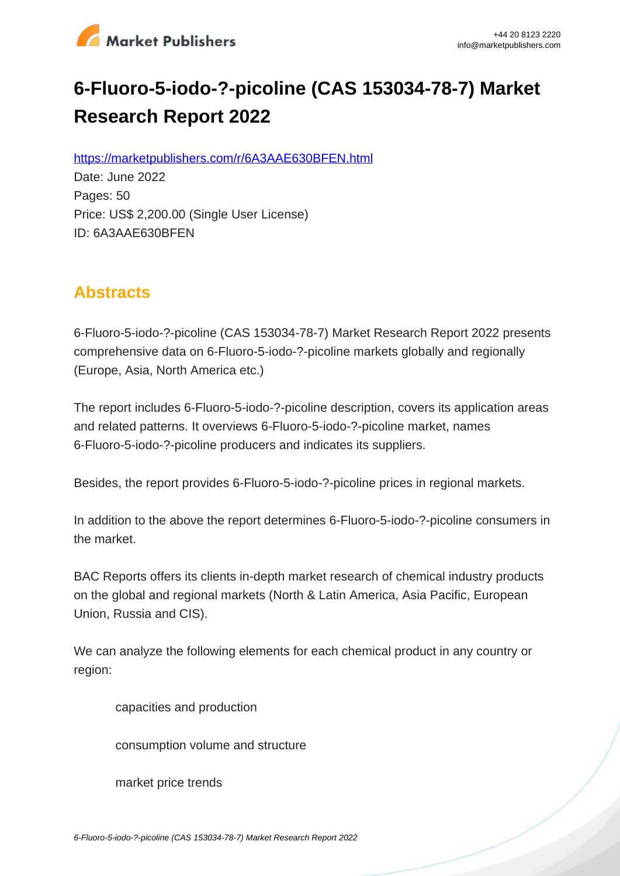

# **6-Fluoro-5-iodo-?-picoline (CAS 153034-78-7) Market Research Report 2022**

https://marketpublishers.com/r/6A3AAE630BFEN.html

Date: June 2022 Pages: 50 Price: US\$ 2,200.00 (Single User License) ID: 6A3AAE630BFEN

# **Abstracts**

6-Fluoro-5-iodo-?-picoline (CAS 153034-78-7) Market Research Report 2022 presents comprehensive data on 6-Fluoro-5-iodo-?-picoline markets globally and regionally (Europe, Asia, North America etc.)

The report includes 6-Fluoro-5-iodo-?-picoline description, covers its application areas and related patterns. It overviews 6-Fluoro-5-iodo-?-picoline market, names 6-Fluoro-5-iodo-?-picoline producers and indicates its suppliers.

Besides, the report provides 6-Fluoro-5-iodo-?-picoline prices in regional markets.

In addition to the above the report determines 6-Fluoro-5-iodo-?-picoline consumers in the market.

BAC Reports offers its clients in-depth market research of chemical industry products on the global and regional markets (North & Latin America, Asia Pacific, European Union, Russia and CIS).

We can analyze the following elements for each chemical product in any country or region:

capacities and production

consumption volume and structure

market price trends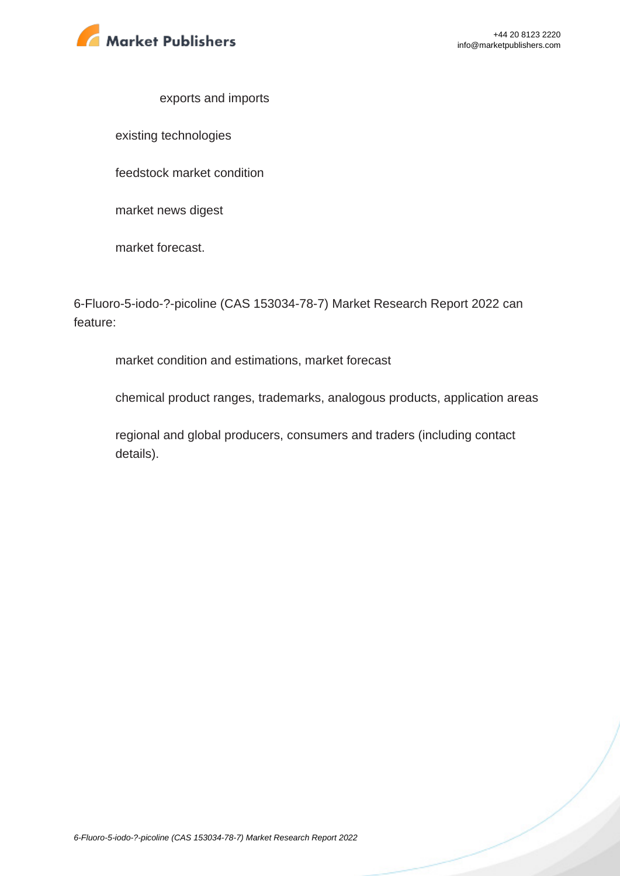

#### exports and imports

existing technologies

feedstock market condition

market news digest

market forecast.

6-Fluoro-5-iodo-?-picoline (CAS 153034-78-7) Market Research Report 2022 can feature:

market condition and estimations, market forecast

chemical product ranges, trademarks, analogous products, application areas

regional and global producers, consumers and traders (including contact details).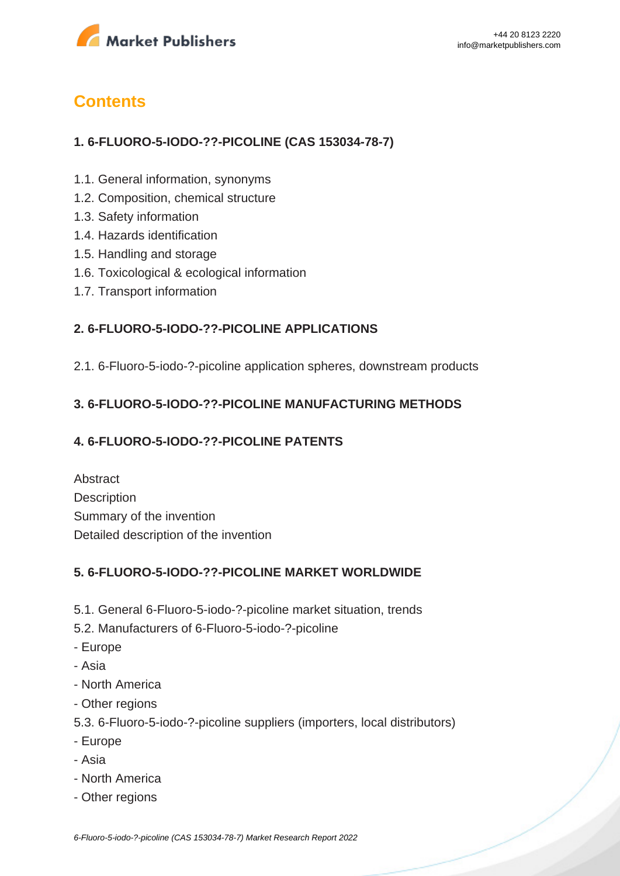

# **Contents**

### **1. 6-FLUORO-5-IODO-??-PICOLINE (CAS 153034-78-7)**

- 1.1. General information, synonyms
- 1.2. Composition, chemical structure
- 1.3. Safety information
- 1.4. Hazards identification
- 1.5. Handling and storage
- 1.6. Toxicological & ecological information
- 1.7. Transport information

### **2. 6-FLUORO-5-IODO-??-PICOLINE APPLICATIONS**

2.1. 6-Fluoro-5-iodo-?-picoline application spheres, downstream products

### **3. 6-FLUORO-5-IODO-??-PICOLINE MANUFACTURING METHODS**

#### **4. 6-FLUORO-5-IODO-??-PICOLINE PATENTS**

Abstract **Description** Summary of the invention Detailed description of the invention

#### **5. 6-FLUORO-5-IODO-??-PICOLINE MARKET WORLDWIDE**

- 5.1. General 6-Fluoro-5-iodo-?-picoline market situation, trends
- 5.2. Manufacturers of 6-Fluoro-5-iodo-?-picoline
- Europe
- Asia
- North America
- Other regions
- 5.3. 6-Fluoro-5-iodo-?-picoline suppliers (importers, local distributors)
- Europe
- Asia
- North America
- Other regions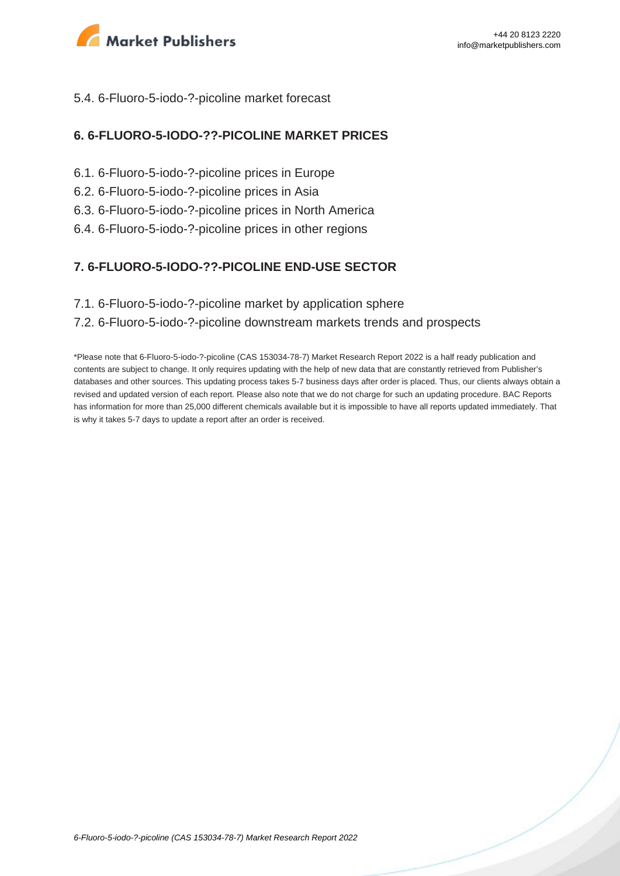

#### 5.4. 6-Fluoro-5-iodo-?-picoline market forecast

#### **6. 6-FLUORO-5-IODO-??-PICOLINE MARKET PRICES**

- 6.1. 6-Fluoro-5-iodo-?-picoline prices in Europe
- 6.2. 6-Fluoro-5-iodo-?-picoline prices in Asia
- 6.3. 6-Fluoro-5-iodo-?-picoline prices in North America
- 6.4. 6-Fluoro-5-iodo-?-picoline prices in other regions

#### **7. 6-FLUORO-5-IODO-??-PICOLINE END-USE SECTOR**

7.1. 6-Fluoro-5-iodo-?-picoline market by application sphere

#### 7.2. 6-Fluoro-5-iodo-?-picoline downstream markets trends and prospects

\*Please note that 6-Fluoro-5-iodo-?-picoline (CAS 153034-78-7) Market Research Report 2022 is a half ready publication and contents are subject to change. It only requires updating with the help of new data that are constantly retrieved from Publisher's databases and other sources. This updating process takes 5-7 business days after order is placed. Thus, our clients always obtain a revised and updated version of each report. Please also note that we do not charge for such an updating procedure. BAC Reports has information for more than 25,000 different chemicals available but it is impossible to have all reports updated immediately. That is why it takes 5-7 days to update a report after an order is received.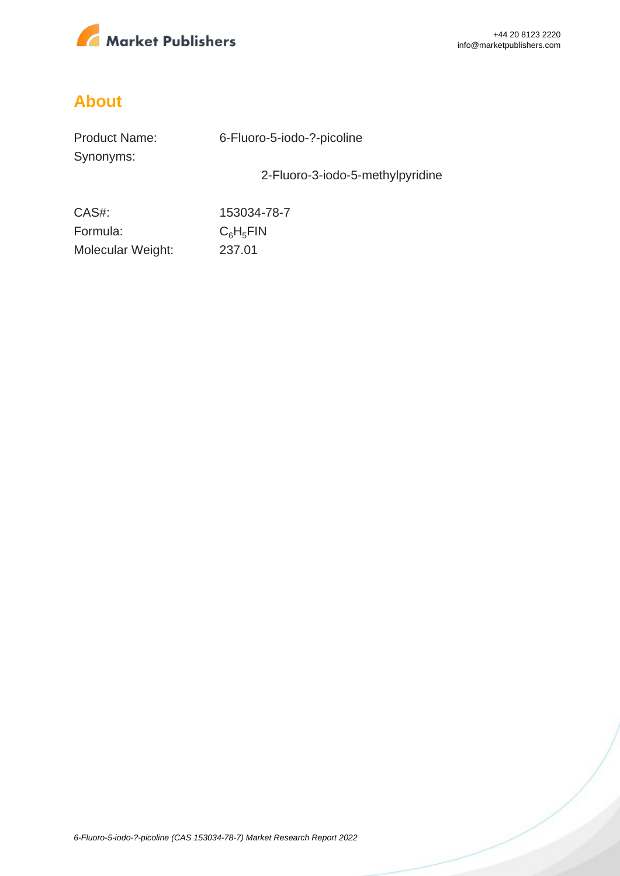

# **About**

| <b>Product Name:</b> |  |
|----------------------|--|
| Synonyms:            |  |

6-Fluoro-5-iodo-?-picoline

2-Fluoro-3-iodo-5-methylpyridine

CAS#: 153034-78-7 Formula:  $C_6H_5FH$ Molecular Weight: 237.01

[6-Fluoro-5-iodo-?-picoline \(CAS 153034-78-7\) Market Research Report 2022](https://marketpublishers.com/report/industry/chemicals_petrochemicals/6_fluoro_5_iodo_picoline-153034-78-7_market_research_report.html)